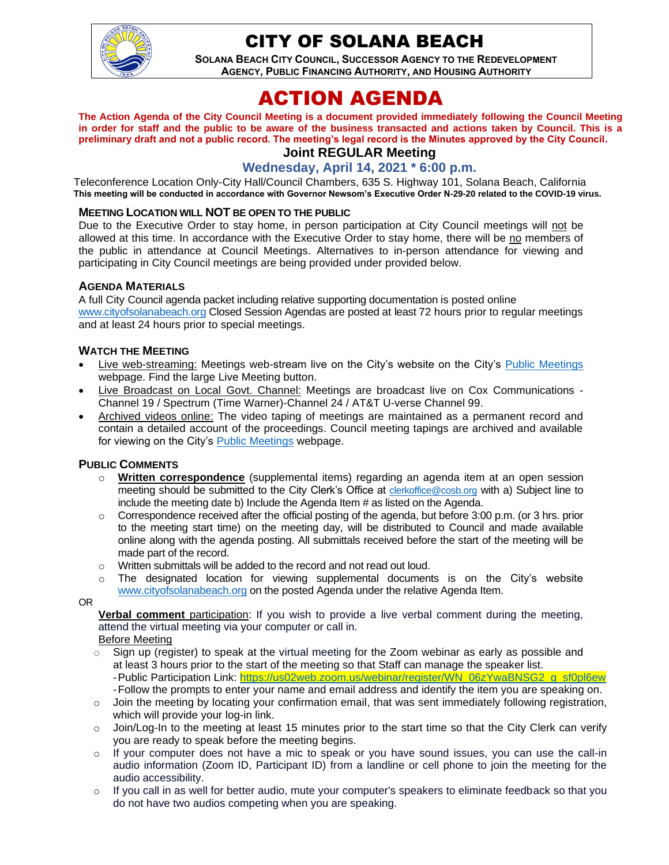

# CITY OF SOLANA BEACH

**SOLANA BEACH CITY COUNCIL, SUCCESSOR AGENCY TO THE REDEVELOPMENT AGENCY, PUBLIC FINANCING AUTHORITY, AND HOUSING AUTHORITY** 

# ACTION AGENDA

**The Action Agenda of the City Council Meeting is a document provided immediately following the Council Meeting in order for staff and the public to be aware of the business transacted and actions taken by Council. This is a preliminary draft and not a public record. The meeting's legal record is the Minutes approved by the City Council.**

# **Joint REGULAR Meeting**

**Wednesday, April 14, 2021 \* 6:00 p.m.**

Teleconference Location Only-City Hall/Council Chambers, 635 S. Highway 101, Solana Beach, California **This meeting will be conducted in accordance with Governor Newsom's Executive Order N-29-20 related to the COVID-19 virus.**

#### **MEETING LOCATION WILL NOT BE OPEN TO THE PUBLIC**

Due to the Executive Order to stay home, in person participation at City Council meetings will not be allowed at this time. In accordance with the Executive Order to stay home, there will be no members of the public in attendance at Council Meetings. Alternatives to in-person attendance for viewing and participating in City Council meetings are being provided under provided below.

#### **AGENDA MATERIALS**

A full City Council agenda packet including relative supporting documentation is posted online [www.cityofsolanabeach.org](http://www.cityofsolanabeach.org/) Closed Session Agendas are posted at least 72 hours prior to regular meetings and at least 24 hours prior to special meetings.

#### **WATCH THE MEETING**

- Live web-streaming: Meetings web-stream live on the City's website on the City's [Public Meetings](https://urldefense.proofpoint.com/v2/url?u=https-3A__www.ci.solana-2Dbeach.ca.us_index.asp-3FSEC-3DF0F1200D-2D21C6-2D4A88-2D8AE1-2D0BC07C1A81A7-26Type-3DB-5FBASIC&d=DwMFAg&c=euGZstcaTDllvimEN8b7jXrwqOf-v5A_CdpgnVfiiMM&r=1XAsCUuqwK_tji2t0s1uIQ&m=wny2RVfZJ2tN24LkqZmkUWNpwL_peNtTZUBlTBZiMM4&s=WwpcEQpHHkFen6nS6q2waMuQ_VMZ-i1YZ60lD-dYRRE&e=) webpage. Find the large Live Meeting button.
- Live Broadcast on Local Govt. Channel: Meetings are broadcast live on Cox Communications Channel 19 / Spectrum (Time Warner)-Channel 24 / AT&T U-verse Channel 99.
- Archived videos online: The video taping of meetings are maintained as a permanent record and contain a detailed account of the proceedings. Council meeting tapings are archived and available for viewing on the City's [Public Meetings](https://urldefense.proofpoint.com/v2/url?u=https-3A__www.ci.solana-2Dbeach.ca.us_index.asp-3FSEC-3DF0F1200D-2D21C6-2D4A88-2D8AE1-2D0BC07C1A81A7-26Type-3DB-5FBASIC&d=DwMFAg&c=euGZstcaTDllvimEN8b7jXrwqOf-v5A_CdpgnVfiiMM&r=1XAsCUuqwK_tji2t0s1uIQ&m=wny2RVfZJ2tN24LkqZmkUWNpwL_peNtTZUBlTBZiMM4&s=WwpcEQpHHkFen6nS6q2waMuQ_VMZ-i1YZ60lD-dYRRE&e=) webpage.

#### **PUBLIC COMMENTS**

- o **Written correspondence** (supplemental items) regarding an agenda item at an open session meeting should be submitted to the City Clerk's Office at [clerkoffice@cosb.org](mailto:clerkoffice@cosb.org) with a) Subject line to include the meeting date b) Include the Agenda Item # as listed on the Agenda.
- $\circ$  Correspondence received after the official posting of the agenda, but before 3:00 p.m. (or 3 hrs. prior to the meeting start time) on the meeting day, will be distributed to Council and made available online along with the agenda posting. All submittals received before the start of the meeting will be made part of the record.
- o Written submittals will be added to the record and not read out loud.
- $\circ$  The designated location for viewing supplemental documents is on the City's website [www.cityofsolanabeach.org](http://www.cityofsolanabeach.org/) on the posted Agenda under the relative Agenda Item.

OR

**Verbal comment** participation: If you wish to provide a live verbal comment during the meeting, attend the virtual meeting via your computer or call in.

Before Meeting

- $\circ$  Sign up (register) to speak at the virtual meeting for the Zoom webinar as early as possible and at least 3 hours prior to the start of the meeting so that Staff can manage the speaker list. -Public Participation Link: [https://us02web.zoom.us/webinar/register/WN\\_06zYwaBNSG2\\_g\\_sf0pl6ew](https://us02web.zoom.us/webinar/register/WN_06zYwaBNSG2_g_sf0pl6ew) -Follow the prompts to enter your name and email address and identify the item you are speaking on.
- o Join the meeting by locating your confirmation email, that was sent immediately following registration, which will provide your log-in link.
- $\circ$  Join/Log-In to the meeting at least 15 minutes prior to the start time so that the City Clerk can verify you are ready to speak before the meeting begins.
- $\circ$  If your computer does not have a mic to speak or you have sound issues, you can use the call-in audio information (Zoom ID, Participant ID) from a landline or cell phone to join the meeting for the audio accessibility.
- $\circ$  If you call in as well for better audio, mute your computer's speakers to eliminate feedback so that you do not have two audios competing when you are speaking.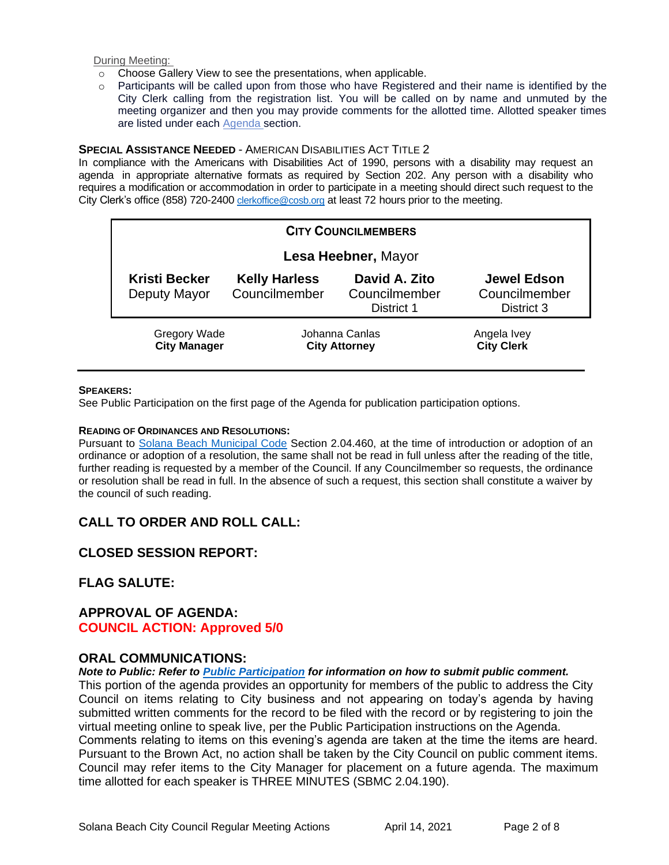During Meeting:

- o Choose Gallery View to see the presentations, when applicable.
- o Participants will be called upon from those who have Registered and their name is identified by the City Clerk calling from the registration list. You will be called on by name and unmuted by the meeting organizer and then you may provide comments for the allotted time. Allotted speaker times are listed under each [Agenda s](https://urldefense.proofpoint.com/v2/url?u=https-3A__www.ci.solana-2Dbeach.ca.us_index.asp-3FSEC-3DF0F1200D-2D21C6-2D4A88-2D8AE1-2D0BC07C1A81A7-26Type-3DB-5FBASIC&d=DwMFaQ&c=euGZstcaTDllvimEN8b7jXrwqOf-v5A_CdpgnVfiiMM&r=1XAsCUuqwK_tji2t0s1uIQ&m=C7WzXfOw2_nkEFMJClT55zZsF4tmIf_7KTn0o1WpYqI&s=3DcsWExM2_nx_xpvFtXslUjphiXd0MDCCF18y_Qy5yU&e=)ection.

#### **SPECIAL ASSISTANCE NEEDED** - AMERICAN DISABILITIES ACT TITLE 2

In compliance with the Americans with Disabilities Act of 1990, persons with a disability may request an agenda in appropriate alternative formats as required by Section 202. Any person with a disability who requires a modification or accommodation in order to participate in a meeting should direct such request to the City Clerk's office (858) 720-2400 [clerkoffice@cosb.org](mailto:EMAILGRP-CityClerksOfc@cosb.org) at least 72 hours prior to the meeting.

| <b>CITY COUNCILMEMBERS</b>                 |                                        |                                              |                                                   |  |
|--------------------------------------------|----------------------------------------|----------------------------------------------|---------------------------------------------------|--|
|                                            | Lesa Heebner, Mayor                    |                                              |                                                   |  |
| <b>Kristi Becker</b><br>Deputy Mayor       | <b>Kelly Harless</b><br>Councilmember  | David A. Zito<br>Councilmember<br>District 1 | <b>Jewel Edson</b><br>Councilmember<br>District 3 |  |
| <b>Gregory Wade</b><br><b>City Manager</b> | Johanna Canlas<br><b>City Attorney</b> |                                              | Angela Ivey<br><b>City Clerk</b>                  |  |

#### **SPEAKERS:**

See Public Participation on the first page of the Agenda for publication participation options.

#### **READING OF ORDINANCES AND RESOLUTIONS:**

Pursuant to [Solana Beach Municipal Code](https://www.codepublishing.com/CA/SolanaBeach/) Section 2.04.460, at the time of introduction or adoption of an ordinance or adoption of a resolution, the same shall not be read in full unless after the reading of the title, further reading is requested by a member of the Council. If any Councilmember so requests, the ordinance or resolution shall be read in full. In the absence of such a request, this section shall constitute a waiver by the council of such reading.

# **CALL TO ORDER AND ROLL CALL:**

# **CLOSED SESSION REPORT:**

# **FLAG SALUTE:**

#### **APPROVAL OF AGENDA: COUNCIL ACTION: Approved 5/0**

#### **ORAL COMMUNICATIONS:**

#### *Note to Public: Refer to Public Participation for information on how to submit public comment.*

This portion of the agenda provides an opportunity for members of the public to address the City Council on items relating to City business and not appearing on today's agenda by having submitted written comments for the record to be filed with the record or by registering to join the virtual meeting online to speak live, per the Public Participation instructions on the Agenda. Comments relating to items on this evening's agenda are taken at the time the items are heard. Pursuant to the Brown Act, no action shall be taken by the City Council on public comment items. Council may refer items to the City Manager for placement on a future agenda. The maximum time allotted for each speaker is THREE MINUTES (SBMC 2.04.190).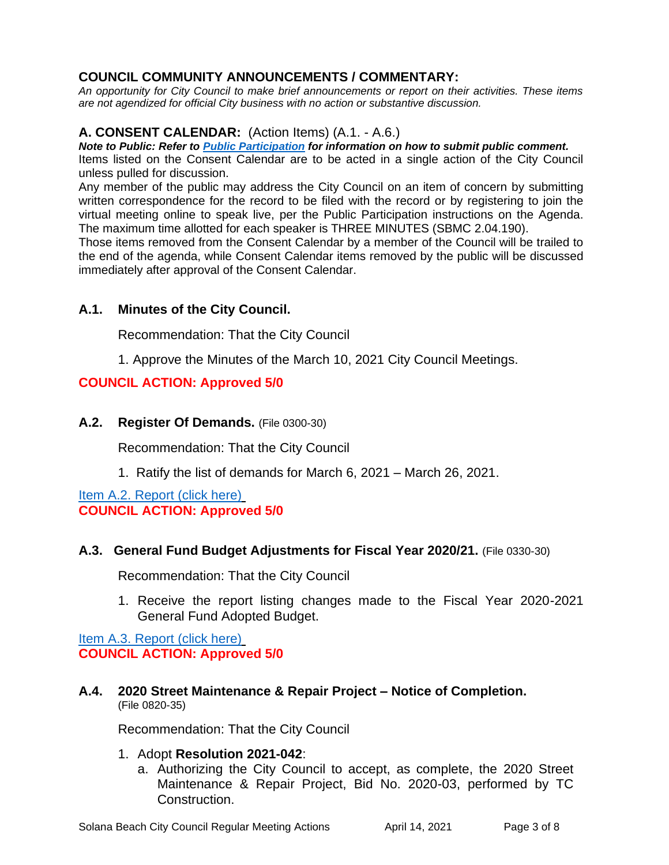# **COUNCIL COMMUNITY ANNOUNCEMENTS / COMMENTARY:**

*An opportunity for City Council to make brief announcements or report on their activities. These items are not agendized for official City business with no action or substantive discussion.* 

# **A. CONSENT CALENDAR:** (Action Items) (A.1. - A.6.)

*Note to Public: Refer to Public Participation for information on how to submit public comment.* 

Items listed on the Consent Calendar are to be acted in a single action of the City Council unless pulled for discussion.

Any member of the public may address the City Council on an item of concern by submitting written correspondence for the record to be filed with the record or by registering to join the virtual meeting online to speak live, per the Public Participation instructions on the Agenda. The maximum time allotted for each speaker is THREE MINUTES (SBMC 2.04.190).

Those items removed from the Consent Calendar by a member of the Council will be trailed to the end of the agenda, while Consent Calendar items removed by the public will be discussed immediately after approval of the Consent Calendar.

# **A.1. Minutes of the City Council.**

Recommendation: That the City Council

1. Approve the Minutes of the March 10, 2021 City Council Meetings.

# **COUNCIL ACTION: Approved 5/0**

# **A.2. Register Of Demands.** (File 0300-30)

Recommendation: That the City Council

1. Ratify the list of demands for March 6, 2021 – March 26, 2021.

[Item A.2. Report \(click here\)](https://solanabeach.govoffice3.com/vertical/Sites/%7B840804C2-F869-4904-9AE3-720581350CE7%7D/uploads/Item_A.2._Report_(click_here)_04-14-21_O.pdf) **COUNCIL ACTION: Approved 5/0**

#### **A.3. General Fund Budget Adjustments for Fiscal Year 2020/21.** (File 0330-30)

Recommendation: That the City Council

1. Receive the report listing changes made to the Fiscal Year 2020-2021 General Fund Adopted Budget.

[Item A.3. Report \(click here\)](https://solanabeach.govoffice3.com/vertical/Sites/%7B840804C2-F869-4904-9AE3-720581350CE7%7D/uploads/Item_A.3._Report_(click_here)_04-14-21_O.pdf) **COUNCIL ACTION: Approved 5/0**

**A.4. 2020 Street Maintenance & Repair Project – Notice of Completion.** (File 0820-35)

Recommendation: That the City Council

#### 1. Adopt **Resolution 2021-042**:

a. Authorizing the City Council to accept, as complete, the 2020 Street Maintenance & Repair Project, Bid No. 2020-03, performed by TC Construction.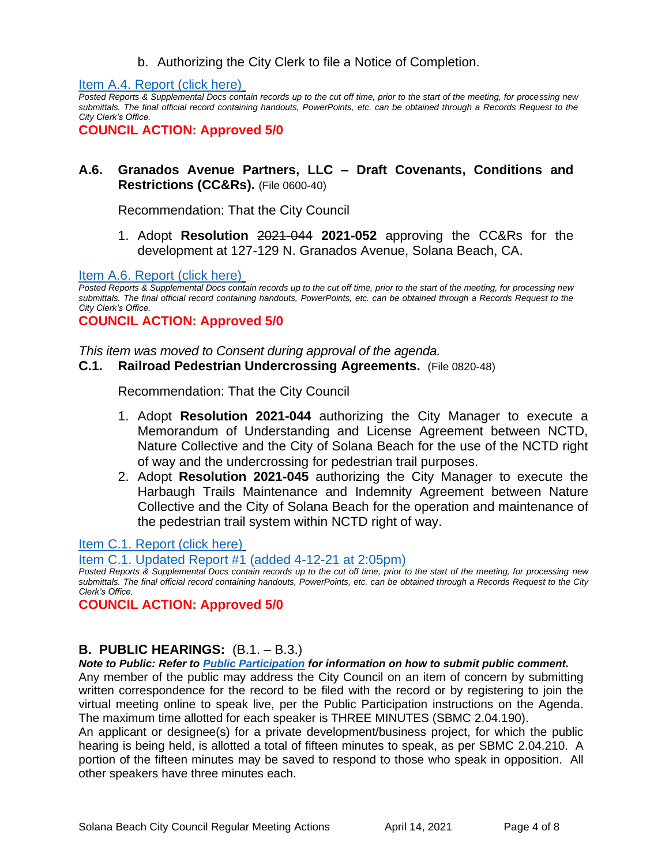b. Authorizing the City Clerk to file a Notice of Completion.

[Item A.4. Report \(click here\)](https://solanabeach.govoffice3.com/vertical/Sites/%7B840804C2-F869-4904-9AE3-720581350CE7%7D/uploads/Item_A.4._Report_(click_here)_04-14-21_O.pdf)

*Posted Reports & Supplemental Docs contain records up to the cut off time, prior to the start of the meeting, for processing new submittals. The final official record containing handouts, PowerPoints, etc. can be obtained through a Records Request to the City Clerk's Office.*

**COUNCIL ACTION: Approved 5/0**

## **A.6. Granados Avenue Partners, LLC – Draft Covenants, Conditions and Restrictions (CC&Rs).** (File 0600-40)

Recommendation: That the City Council

1. Adopt **Resolution** 2021-044 **2021-052** approving the CC&Rs for the development at 127-129 N. Granados Avenue, Solana Beach, CA.

[Item A.6. Report \(click here\)](https://solanabeach.govoffice3.com/vertical/Sites/%7B840804C2-F869-4904-9AE3-720581350CE7%7D/uploads/Item_A.6._Report_(click_here)_04-14-21_O.pdf)

*Posted Reports & Supplemental Docs contain records up to the cut off time, prior to the start of the meeting, for processing new submittals. The final official record containing handouts, PowerPoints, etc. can be obtained through a Records Request to the City Clerk's Office.*

**COUNCIL ACTION: Approved 5/0**

*This item was moved to Consent during approval of the agenda.* 

#### **C.1. Railroad Pedestrian Undercrossing Agreements.** (File 0820-48)

Recommendation: That the City Council

- 1. Adopt **Resolution 2021-044** authorizing the City Manager to execute a Memorandum of Understanding and License Agreement between NCTD, Nature Collective and the City of Solana Beach for the use of the NCTD right of way and the undercrossing for pedestrian trail purposes.
- 2. Adopt **Resolution 2021-045** authorizing the City Manager to execute the Harbaugh Trails Maintenance and Indemnity Agreement between Nature Collective and the City of Solana Beach for the operation and maintenance of the pedestrian trail system within NCTD right of way.

[Item C.1. Report \(click here\)](https://solanabeach.govoffice3.com/vertical/Sites/%7B840804C2-F869-4904-9AE3-720581350CE7%7D/uploads/Item_C.1._Report_(click_here)_04-14-21_O.pdf)

[Item C.1. Updated Report #1 \(added 4-12-21](https://solanabeach.govoffice3.com/vertical/Sites/%7B840804C2-F869-4904-9AE3-720581350CE7%7D/uploads/Item_C.1._-_Staff_Report_Update_1.pdf) at 2:05pm)

*Posted Reports & Supplemental Docs contain records up to the cut off time, prior to the start of the meeting, for processing new submittals. The final official record containing handouts, PowerPoints, etc. can be obtained through a Records Request to the City Clerk's Office.*

**COUNCIL ACTION: Approved 5/0**

#### **B. PUBLIC HEARINGS:** (B.1. – B.3.)

*Note to Public: Refer to Public Participation for information on how to submit public comment.*  Any member of the public may address the City Council on an item of concern by submitting written correspondence for the record to be filed with the record or by registering to join the virtual meeting online to speak live, per the Public Participation instructions on the Agenda. The maximum time allotted for each speaker is THREE MINUTES (SBMC 2.04.190).

An applicant or designee(s) for a private development/business project, for which the public hearing is being held, is allotted a total of fifteen minutes to speak, as per SBMC 2.04.210. A portion of the fifteen minutes may be saved to respond to those who speak in opposition. All other speakers have three minutes each.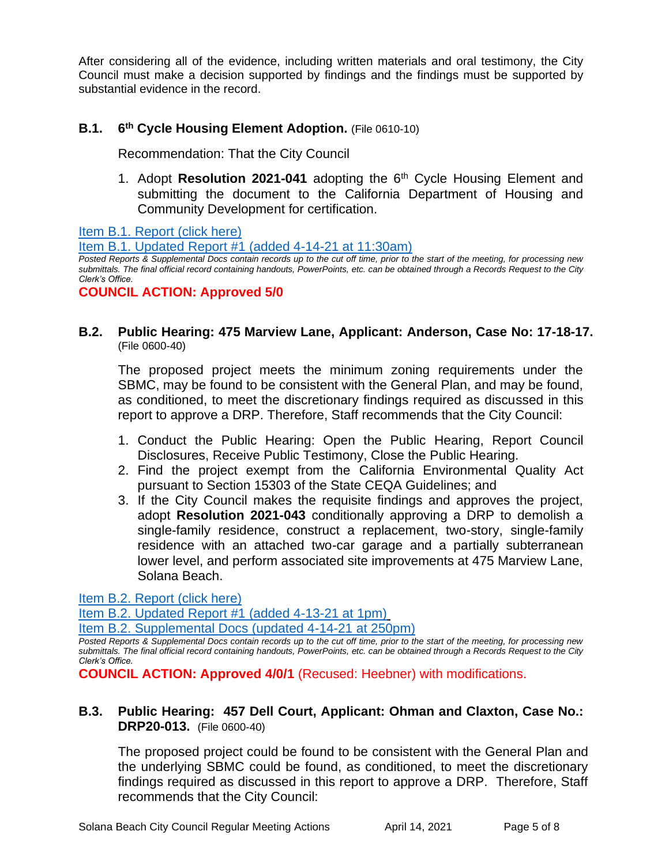After considering all of the evidence, including written materials and oral testimony, the City Council must make a decision supported by findings and the findings must be supported by substantial evidence in the record.

#### **B.1. 6 th Cycle Housing Element Adoption.** (File 0610-10)

Recommendation: That the City Council

1. Adopt **Resolution 2021-041** adopting the 6th Cycle Housing Element and submitting the document to the California Department of Housing and Community Development for certification.

[Item B.1. Report \(click here\)](https://solanabeach.govoffice3.com/vertical/Sites/%7B840804C2-F869-4904-9AE3-720581350CE7%7D/uploads/Item_B.1._Report_(click_here)_04-14-21_O.pdf)

[Item B.1. Updated Report #1 \(added 4-14-21 at 11:30am\)](https://solanabeach.govoffice3.com/vertical/Sites/%7B840804C2-F869-4904-9AE3-720581350CE7%7D/uploads/Item_B.1._Updated_Report_1_-_4-14_(930am).pdf)

*Posted Reports & Supplemental Docs contain records up to the cut off time, prior to the start of the meeting, for processing new submittals. The final official record containing handouts, PowerPoints, etc. can be obtained through a Records Request to the City Clerk's Office.*

**COUNCIL ACTION: Approved 5/0**

#### **B.2. Public Hearing: 475 Marview Lane, Applicant: Anderson, Case No: 17-18-17.**  (File 0600-40)

The proposed project meets the minimum zoning requirements under the SBMC, may be found to be consistent with the General Plan, and may be found, as conditioned, to meet the discretionary findings required as discussed in this report to approve a DRP. Therefore, Staff recommends that the City Council:

- 1. Conduct the Public Hearing: Open the Public Hearing, Report Council Disclosures, Receive Public Testimony, Close the Public Hearing.
- 2. Find the project exempt from the California Environmental Quality Act pursuant to Section 15303 of the State CEQA Guidelines; and
- 3. If the City Council makes the requisite findings and approves the project, adopt **Resolution 2021-043** conditionally approving a DRP to demolish a single-family residence, construct a replacement, two-story, single-family residence with an attached two-car garage and a partially subterranean lower level, and perform associated site improvements at 475 Marview Lane, Solana Beach.

[Item B.2. Report \(click here\)](https://solanabeach.govoffice3.com/vertical/Sites/%7B840804C2-F869-4904-9AE3-720581350CE7%7D/uploads/Item_B.2._Report_(click_here)_04-14-21_O.pdf)

[Item B.2. Updated Report #1 \(added 4-13-21](https://solanabeach.govoffice3.com/vertical/Sites/%7B840804C2-F869-4904-9AE3-720581350CE7%7D/uploads/Item_B.2._Updated_Report_1_-_4-13-21_-_O.pdf) at 1pm)

[Item B.2. Supplemental Docs \(updated 4-14-21 at 250pm\)](https://solanabeach.govoffice3.com/vertical/Sites/%7B840804C2-F869-4904-9AE3-720581350CE7%7D/uploads/Item_B.2._Supplemental_Docs_(upd._4-14_at_237pm)_-_O.pdf)

*Posted Reports & Supplemental Docs contain records up to the cut off time, prior to the start of the meeting, for processing new submittals. The final official record containing handouts, PowerPoints, etc. can be obtained through a Records Request to the City Clerk's Office.*

**COUNCIL ACTION: Approved 4/0/1** (Recused: Heebner) with modifications.

### **B.3. Public Hearing: 457 Dell Court, Applicant: Ohman and Claxton, Case No.: DRP20-013.** (File 0600-40)

The proposed project could be found to be consistent with the General Plan and the underlying SBMC could be found, as conditioned, to meet the discretionary findings required as discussed in this report to approve a DRP. Therefore, Staff recommends that the City Council: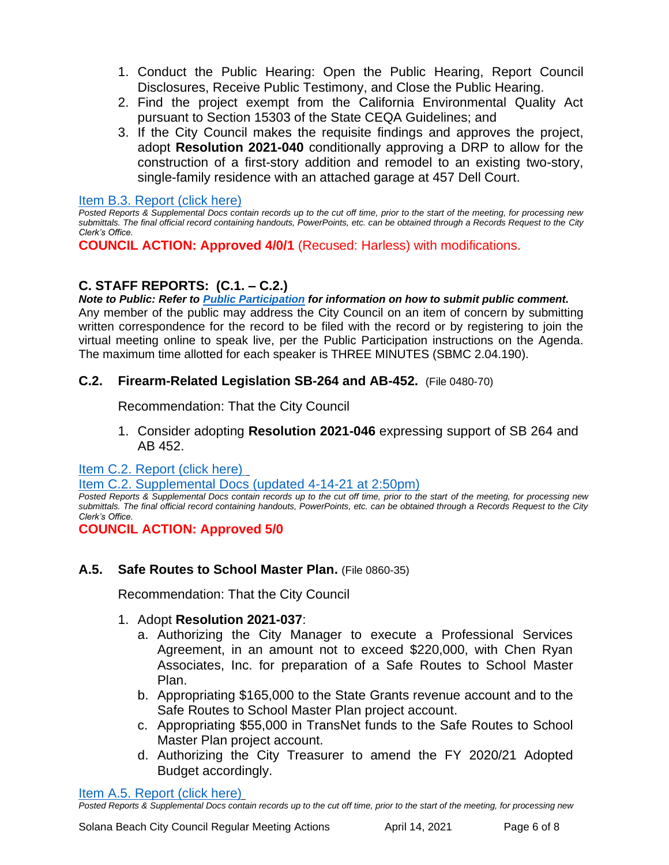- 1. Conduct the Public Hearing: Open the Public Hearing, Report Council Disclosures, Receive Public Testimony, and Close the Public Hearing.
- 2. Find the project exempt from the California Environmental Quality Act pursuant to Section 15303 of the State CEQA Guidelines; and
- 3. If the City Council makes the requisite findings and approves the project, adopt **Resolution 2021-040** conditionally approving a DRP to allow for the construction of a first-story addition and remodel to an existing two-story, single-family residence with an attached garage at 457 Dell Court.

### [Item B.3. Report \(click here\)](https://solanabeach.govoffice3.com/vertical/Sites/%7B840804C2-F869-4904-9AE3-720581350CE7%7D/uploads/Item_B.3._Report_(click_here)_04-14-21_O.pdf)

*Posted Reports & Supplemental Docs contain records up to the cut off time, prior to the start of the meeting, for processing new submittals. The final official record containing handouts, PowerPoints, etc. can be obtained through a Records Request to the City Clerk's Office.*

**COUNCIL ACTION: Approved 4/0/1** (Recused: Harless) with modifications.

# **C. STAFF REPORTS: (C.1. – C.2.)**

*Note to Public: Refer to Public Participation for information on how to submit public comment.* 

Any member of the public may address the City Council on an item of concern by submitting written correspondence for the record to be filed with the record or by registering to join the virtual meeting online to speak live, per the Public Participation instructions on the Agenda. The maximum time allotted for each speaker is THREE MINUTES (SBMC 2.04.190).

# **C.2. Firearm-Related Legislation SB-264 and AB-452.** (File 0480-70)

Recommendation: That the City Council

1. Consider adopting **Resolution 2021-046** expressing support of SB 264 and AB 452.

[Item C.2. Report](https://solanabeach.govoffice3.com/vertical/Sites/%7B840804C2-F869-4904-9AE3-720581350CE7%7D/uploads/Item_C.2._Report_(click_here)_04-14-21_O.pdf) (click here)

# [Item C.2. Supplemental Docs \(updated](https://solanabeach.govoffice3.com/vertical/Sites/%7B840804C2-F869-4904-9AE3-720581350CE7%7D/uploads/Item_C.2._Supplemental_Docs_(Upd._4-14_at_235pm)_-_O.pdf) 4-14-21 at 2:50pm)

*Posted Reports & Supplemental Docs contain records up to the cut off time, prior to the start of the meeting, for processing new submittals. The final official record containing handouts, PowerPoints, etc. can be obtained through a Records Request to the City Clerk's Office.*

**COUNCIL ACTION: Approved 5/0**

# **A.5. Safe Routes to School Master Plan.** (File 0860-35)

Recommendation: That the City Council

# 1. Adopt **Resolution 2021-037**:

- a. Authorizing the City Manager to execute a Professional Services Agreement, in an amount not to exceed \$220,000, with Chen Ryan Associates, Inc. for preparation of a Safe Routes to School Master Plan.
- b. Appropriating \$165,000 to the State Grants revenue account and to the Safe Routes to School Master Plan project account.
- c. Appropriating \$55,000 in TransNet funds to the Safe Routes to School Master Plan project account.
- d. Authorizing the City Treasurer to amend the FY 2020/21 Adopted Budget accordingly.

[Item A.5. Report \(click here\)](https://solanabeach.govoffice3.com/vertical/Sites/%7B840804C2-F869-4904-9AE3-720581350CE7%7D/uploads/Item_A.5._Report_(click_here)_04-14-21_O.pdf)

*Posted Reports & Supplemental Docs contain records up to the cut off time, prior to the start of the meeting, for processing new*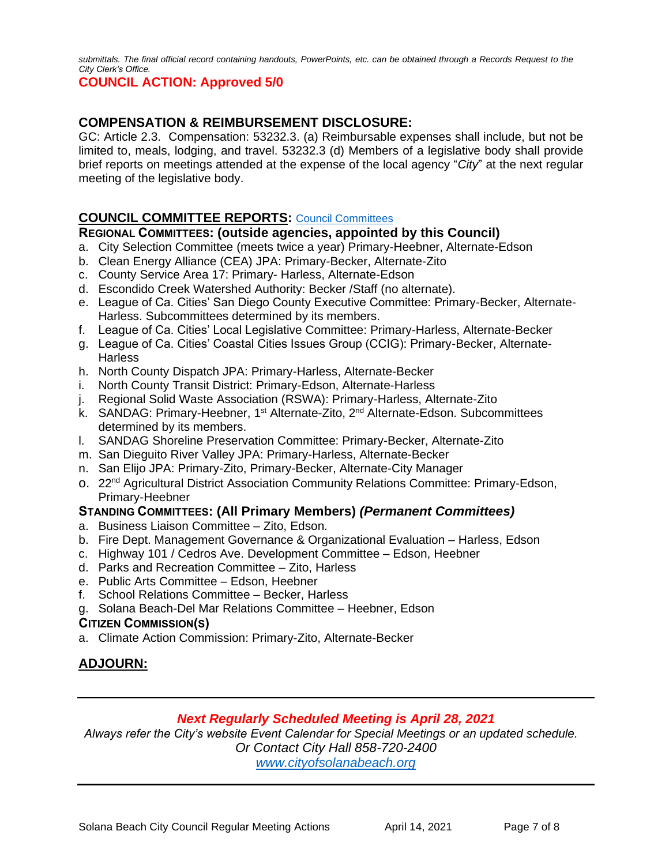*submittals. The final official record containing handouts, PowerPoints, etc. can be obtained through a Records Request to the City Clerk's Office.*

#### **COUNCIL ACTION: Approved 5/0**

## **COMPENSATION & REIMBURSEMENT DISCLOSURE:**

GC: Article 2.3. Compensation: 53232.3. (a) Reimbursable expenses shall include, but not be limited to, meals, lodging, and travel. 53232.3 (d) Members of a legislative body shall provide brief reports on meetings attended at the expense of the local agency "*City*" at the next regular meeting of the legislative body.

### **COUNCIL COMMITTEE REPORTS:** [Council Committees](https://www.ci.solana-beach.ca.us/index.asp?SEC=584E1192-3850-46EA-B977-088AC3E81E0D&Type=B_BASIC)

#### **REGIONAL COMMITTEES: (outside agencies, appointed by this Council)**

- a. City Selection Committee (meets twice a year) Primary-Heebner, Alternate-Edson
- b. Clean Energy Alliance (CEA) JPA: Primary-Becker, Alternate-Zito
- c. County Service Area 17: Primary- Harless, Alternate-Edson
- d. Escondido Creek Watershed Authority: Becker /Staff (no alternate).
- e. League of Ca. Cities' San Diego County Executive Committee: Primary-Becker, Alternate-Harless. Subcommittees determined by its members.
- f. League of Ca. Cities' Local Legislative Committee: Primary-Harless, Alternate-Becker
- g. League of Ca. Cities' Coastal Cities Issues Group (CCIG): Primary-Becker, Alternate-**Harless**
- h. North County Dispatch JPA: Primary-Harless, Alternate-Becker
- i. North County Transit District: Primary-Edson, Alternate-Harless
- j. Regional Solid Waste Association (RSWA): Primary-Harless, Alternate-Zito
- k. SANDAG: Primary-Heebner, 1<sup>st</sup> Alternate-Zito, 2<sup>nd</sup> Alternate-Edson. Subcommittees determined by its members.
- l. SANDAG Shoreline Preservation Committee: Primary-Becker, Alternate-Zito
- m. San Dieguito River Valley JPA: Primary-Harless, Alternate-Becker
- n. San Elijo JPA: Primary-Zito, Primary-Becker, Alternate-City Manager
- o. 22<sup>nd</sup> Agricultural District Association Community Relations Committee: Primary-Edson, Primary-Heebner

#### **STANDING COMMITTEES: (All Primary Members)** *(Permanent Committees)*

- a. Business Liaison Committee Zito, Edson.
- b. Fire Dept. Management Governance & Organizational Evaluation Harless, Edson
- c. Highway 101 / Cedros Ave. Development Committee Edson, Heebner
- d. Parks and Recreation Committee Zito, Harless
- e. Public Arts Committee Edson, Heebner
- f. School Relations Committee Becker, Harless
- g. Solana Beach-Del Mar Relations Committee Heebner, Edson

#### **CITIZEN COMMISSION(S)**

a. Climate Action Commission: Primary-Zito, Alternate-Becker

# **ADJOURN:**

#### *Next Regularly Scheduled Meeting is April 28, 2021*

*Always refer the City's website Event Calendar for Special Meetings or an updated schedule. Or Contact City Hall 858-720-2400 [www.cityofsolanabeach.org](http://www.cityofsolanabeach.org/)*